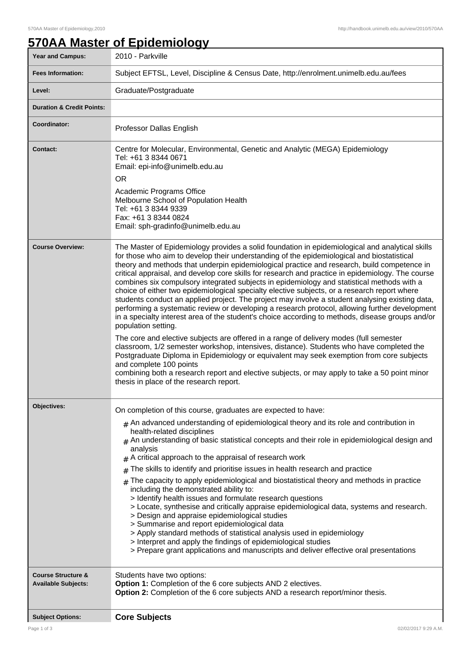## **570AA Master of Epidemiology**

| <b>Year and Campus:</b>                                     | 2010 - Parkville                                                                                                                                                                                                                                                                                                                                                                                                                                                                                                                                                                                                                                                                                                                                                                                                                                                                                                                                                                                                                                                                                                                                                                                                                                                                                                                                                                         |
|-------------------------------------------------------------|------------------------------------------------------------------------------------------------------------------------------------------------------------------------------------------------------------------------------------------------------------------------------------------------------------------------------------------------------------------------------------------------------------------------------------------------------------------------------------------------------------------------------------------------------------------------------------------------------------------------------------------------------------------------------------------------------------------------------------------------------------------------------------------------------------------------------------------------------------------------------------------------------------------------------------------------------------------------------------------------------------------------------------------------------------------------------------------------------------------------------------------------------------------------------------------------------------------------------------------------------------------------------------------------------------------------------------------------------------------------------------------|
| <b>Fees Information:</b>                                    | Subject EFTSL, Level, Discipline & Census Date, http://enrolment.unimelb.edu.au/fees                                                                                                                                                                                                                                                                                                                                                                                                                                                                                                                                                                                                                                                                                                                                                                                                                                                                                                                                                                                                                                                                                                                                                                                                                                                                                                     |
| Level:                                                      | Graduate/Postgraduate                                                                                                                                                                                                                                                                                                                                                                                                                                                                                                                                                                                                                                                                                                                                                                                                                                                                                                                                                                                                                                                                                                                                                                                                                                                                                                                                                                    |
| <b>Duration &amp; Credit Points:</b>                        |                                                                                                                                                                                                                                                                                                                                                                                                                                                                                                                                                                                                                                                                                                                                                                                                                                                                                                                                                                                                                                                                                                                                                                                                                                                                                                                                                                                          |
| Coordinator:                                                | Professor Dallas English                                                                                                                                                                                                                                                                                                                                                                                                                                                                                                                                                                                                                                                                                                                                                                                                                                                                                                                                                                                                                                                                                                                                                                                                                                                                                                                                                                 |
| <b>Contact:</b>                                             | Centre for Molecular, Environmental, Genetic and Analytic (MEGA) Epidemiology<br>Tel: +61 3 8344 0671<br>Email: epi-info@unimelb.edu.au<br><b>OR</b><br>Academic Programs Office<br>Melbourne School of Population Health<br>Tel: +61 3 8344 9339<br>Fax: +61 3 8344 0824<br>Email: sph-gradinfo@unimelb.edu.au                                                                                                                                                                                                                                                                                                                                                                                                                                                                                                                                                                                                                                                                                                                                                                                                                                                                                                                                                                                                                                                                          |
| <b>Course Overview:</b>                                     | The Master of Epidemiology provides a solid foundation in epidemiological and analytical skills<br>for those who aim to develop their understanding of the epidemiological and biostatistical<br>theory and methods that underpin epidemiological practice and research, build competence in<br>critical appraisal, and develop core skills for research and practice in epidemiology. The course<br>combines six compulsory integrated subjects in epidemiology and statistical methods with a<br>choice of either two epidemiological specialty elective subjects, or a research report where<br>students conduct an applied project. The project may involve a student analysing existing data,<br>performing a systematic review or developing a research protocol, allowing further development<br>in a specialty interest area of the student's choice according to methods, disease groups and/or<br>population setting.<br>The core and elective subjects are offered in a range of delivery modes (full semester<br>classroom, 1/2 semester workshop, intensives, distance). Students who have completed the<br>Postgraduate Diploma in Epidemiology or equivalent may seek exemption from core subjects<br>and complete 100 points<br>combining both a research report and elective subjects, or may apply to take a 50 point minor<br>thesis in place of the research report. |
| Objectives:                                                 | On completion of this course, graduates are expected to have:<br>$*$ An advanced understanding of epidemiological theory and its role and contribution in<br>health-related disciplines<br>$#$ An understanding of basic statistical concepts and their role in epidemiological design and<br>analysis<br>A critical approach to the appraisal of research work<br>#<br>The skills to identify and prioritise issues in health research and practice<br>#<br>The capacity to apply epidemiological and biostatistical theory and methods in practice<br>$\pm$<br>including the demonstrated ability to:<br>> Identify health issues and formulate research questions<br>> Locate, synthesise and critically appraise epidemiological data, systems and research.<br>> Design and appraise epidemiological studies<br>> Summarise and report epidemiological data<br>> Apply standard methods of statistical analysis used in epidemiology<br>> Interpret and apply the findings of epidemiological studies<br>> Prepare grant applications and manuscripts and deliver effective oral presentations                                                                                                                                                                                                                                                                                      |
| <b>Course Structure &amp;</b><br><b>Available Subjects:</b> | Students have two options:<br>Option 1: Completion of the 6 core subjects AND 2 electives.<br>Option 2: Completion of the 6 core subjects AND a research report/minor thesis.                                                                                                                                                                                                                                                                                                                                                                                                                                                                                                                                                                                                                                                                                                                                                                                                                                                                                                                                                                                                                                                                                                                                                                                                            |
| <b>Subject Options:</b><br>Page 1 of 3                      | <b>Core Subjects</b><br>02/02/2017 9:29 A.M                                                                                                                                                                                                                                                                                                                                                                                                                                                                                                                                                                                                                                                                                                                                                                                                                                                                                                                                                                                                                                                                                                                                                                                                                                                                                                                                              |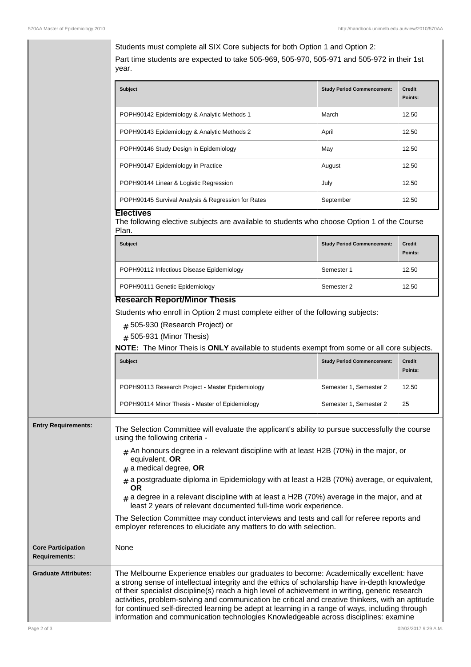Students must complete all SIX Core subjects for both Option 1 and Option 2: Part time students are expected to take 505-969, 505-970, 505-971 and 505-972 in their 1st year.

| <b>Subject</b>                                     | <b>Study Period Commencement:</b> | Credit<br>Points: |
|----------------------------------------------------|-----------------------------------|-------------------|
| POPH90142 Epidemiology & Analytic Methods 1        | March                             | 12.50             |
| POPH90143 Epidemiology & Analytic Methods 2        | April                             | 12.50             |
| POPH90146 Study Design in Epidemiology             | May                               | 12.50             |
| POPH90147 Epidemiology in Practice                 | August                            | 12.50             |
| POPH90144 Linear & Logistic Regression             | July                              | 12.50             |
| POPH90145 Survival Analysis & Regression for Rates | September                         | 12.50             |

## **Electives**

The following elective subjects are available to students who choose Option 1 of the Course Plan.

| <b>Subject</b>                            | <b>Study Period Commencement:</b> | <b>Credit</b><br>Points: |
|-------------------------------------------|-----------------------------------|--------------------------|
| POPH90112 Infectious Disease Epidemiology | Semester 1                        | 12.50                    |
| POPH90111 Genetic Epidemiology<br>.       | Semester 2                        | 12.50                    |

## **Research Report/Minor Thesis**

Students who enroll in Option 2 must complete either of the following subjects:

 $_{\rm \#}$  505-930 (Research Project) or

# 505-931 (Minor Thesis)

**NOTE:** The Minor Theis is **ONLY** available to students exempt from some or all core subjects.

| <b>Subject</b>                                   | <b>Study Period Commencement:</b> | <b>Credit</b><br>Points: |
|--------------------------------------------------|-----------------------------------|--------------------------|
| POPH90113 Research Project - Master Epidemiology | Semester 1, Semester 2            | 12.50                    |
| POPH90114 Minor Thesis - Master of Epidemiology  | Semester 1, Semester 2            | 25                       |

**Entry Requirements:** The Selection Committee will evaluate the applicant's ability to pursue successfully the course using the following criteria -

- $#$  An honours degree in a relevant discipline with at least H2B (70%) in the major, or equivalent, **OR**
- # a medical degree, **OR**
- $_{\rm \#}$  a postgraduate diploma in Epidemiology with at least a H2B (70%) average, or equivalent, **OR**
- $_{\rm \#}$  a degree in a relevant discipline with at least a H2B (70%) average in the major, and at least 2 years of relevant documented full-time work experience.

The Selection Committee may conduct interviews and tests and call for referee reports and employer references to elucidate any matters to do with selection.

| <b>Core Participation</b><br><b>Requirements:</b> | None                                                                                                                                                                                                                                                                                                                                                                                                                                                                                                                                                                                         |
|---------------------------------------------------|----------------------------------------------------------------------------------------------------------------------------------------------------------------------------------------------------------------------------------------------------------------------------------------------------------------------------------------------------------------------------------------------------------------------------------------------------------------------------------------------------------------------------------------------------------------------------------------------|
| <b>Graduate Attributes:</b>                       | The Melbourne Experience enables our graduates to become: Academically excellent: have<br>a strong sense of intellectual integrity and the ethics of scholarship have in-depth knowledge<br>of their specialist discipline(s) reach a high level of achievement in writing, generic research<br>activities, problem-solving and communication be critical and creative thinkers, with an aptitude<br>for continued self-directed learning be adept at learning in a range of ways, including through<br>information and communication technologies Knowledgeable across disciplines: examine |